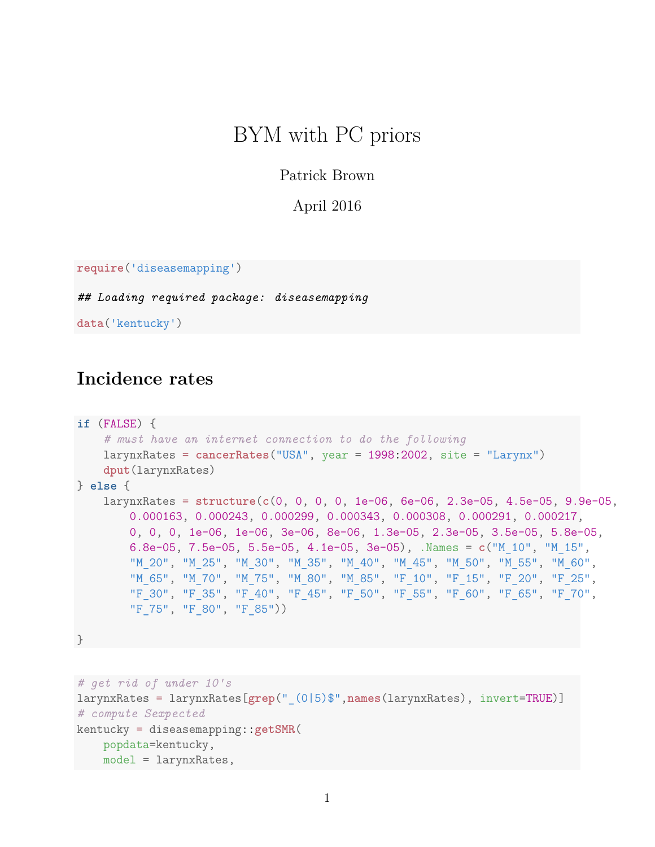# BYM with PC priors

Patrick Brown

April 2016

```
require('diseasemapping')
```
*## Loading required package: diseasemapping*

**data**('kentucky')

## **Incidence rates**

```
if (FALSE) {
    # must have an internet connection to do the following
    larynxRates = cancerRates("USA", year = 1998:2002, site = "Larynx")
   dput(larynxRates)
} else {
    larynxRates = structure(c(0, 0, 0, 0, 1e-06, 6e-06, 2.3e-05, 4.5e-05, 9.9e-05,
        0.000163, 0.000243, 0.000299, 0.000343, 0.000308, 0.000291, 0.000217,
        0, 0, 0, 1e-06, 1e-06, 3e-06, 8e-06, 1.3e-05, 2.3e-05, 3.5e-05, 5.8e-05,
        6.8e-05, 7.5e-05, 5.5e-05, 4.1e-05, 3e-05), .Names = c("M_10", "M_15",
        "M_20", "M_25", "M_30", "M_35", "M_40", "M_45", "M_50", "M_55", "M_60",
        "M_65", "M_70", "M_75", "M_80", "M_85", "F_10", "F_15", "F_20", "F_25",
        "F_30", "F_35", "F_40", "F_45", "F_50", "F_55", "F_60", "F_65", "F_70",
        "F_75", "F_80", "F_85"))
}
```

```
# get rid of under 10's
larynxRates = larynxRates[grep("_(0|5)$",names(larynxRates), invert=TRUE)]
# compute Sexpected
kentucky = diseasemapping::getSMR(
    popdata=kentucky,
    model = larynxRates,
```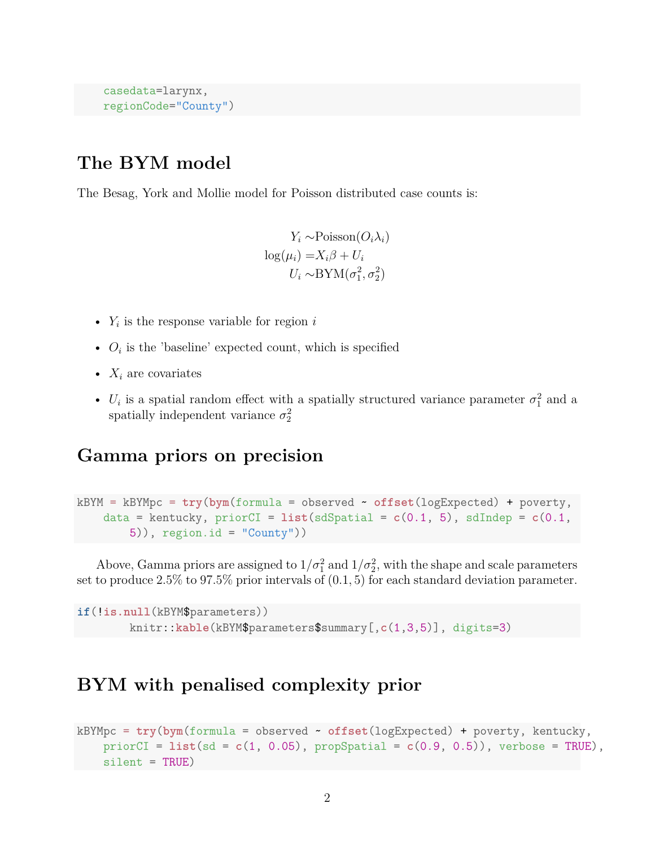```
casedata=larynx,
regionCode="County")
```
### **The BYM model**

The Besag, York and Mollie model for Poisson distributed case counts is:

*Y*<sup>*i*</sup>  $∼$ Poisson(*O*<sup>*i*</sup> $λ$ <sup>*i*</sup>)  $\log(\mu_i) = X_i \beta + U_i$  $U_i \sim \text{BYM}(\sigma_1^2, \sigma_2^2)$ 

- $Y_i$  is the response variable for region  $i$
- $O_i$  is the 'baseline' expected count, which is specified
- $X_i$  are covariates
- $U_i$  is a spatial random effect with a spatially structured variance parameter  $\sigma_1^2$  and a spatially independent variance  $\sigma_2^2$

#### **Gamma priors on precision**

```
kBYM = kBYMpc = try(bym(formula = observed ~ offset(logExpected) + poverty,
    data = kentucky, priorCI = list(sdSpatial = c(0.1, 5), sdIndep = c(0.1, 5))5)), region.id = "County"))
```
Above, Gamma priors are assigned to  $1/\sigma_1^2$  and  $1/\sigma_2^2$ , with the shape and scale parameters set to produce 2.5% to 97.5% prior intervals of (0*.*1*,* 5) for each standard deviation parameter.

```
if(!is.null(kBYM$parameters))
        knitr::kable(kBYM$parameters$summary[,c(1,3,5)], digits=3)
```
### **BYM with penalised complexity prior**

```
kBYMpc = try(bym(formula = observed ~ offset(logExpected) + poverty, kentucky,
    priorCI = list(sd = c(1, 0.05), propSpatial = c(0.9, 0.5)), verbose = TRUE),
    silent = TRUE)
```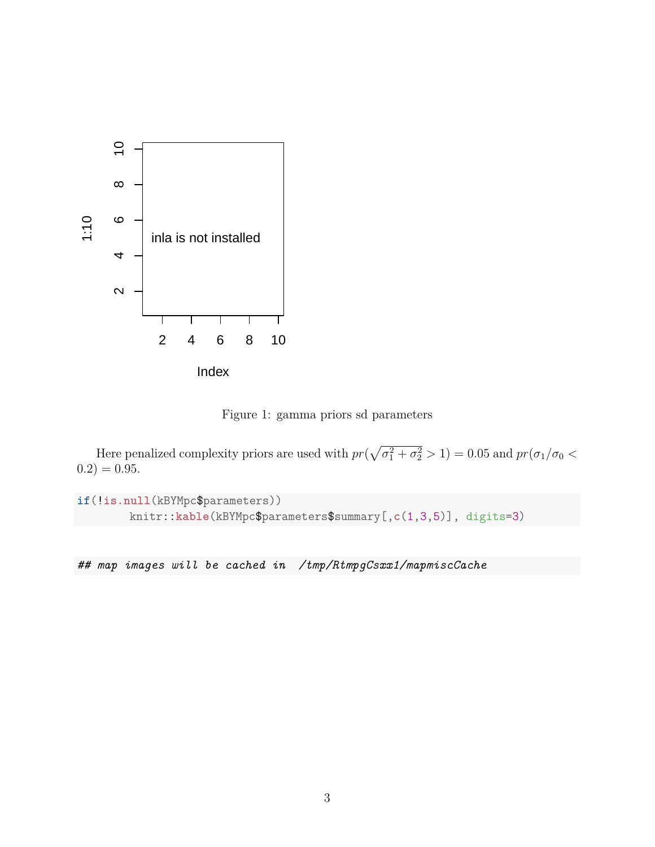

Figure 1: gamma priors sd parameters

Here penalized complexity priors are used with  $pr(\sqrt{\sigma_1^2 + \sigma_2^2} > 1) = 0.05$  and  $pr(\sigma_1/\sigma_0 <$  $(0.2) = 0.95.$ 

**if**(!**is.null**(kBYMpc\$parameters)) knitr::**kable**(kBYMpc\$parameters\$summary[,**c**(1,3,5)], digits=3)

*## map images will be cached in /tmp/RtmpgCsxx1/mapmiscCache*